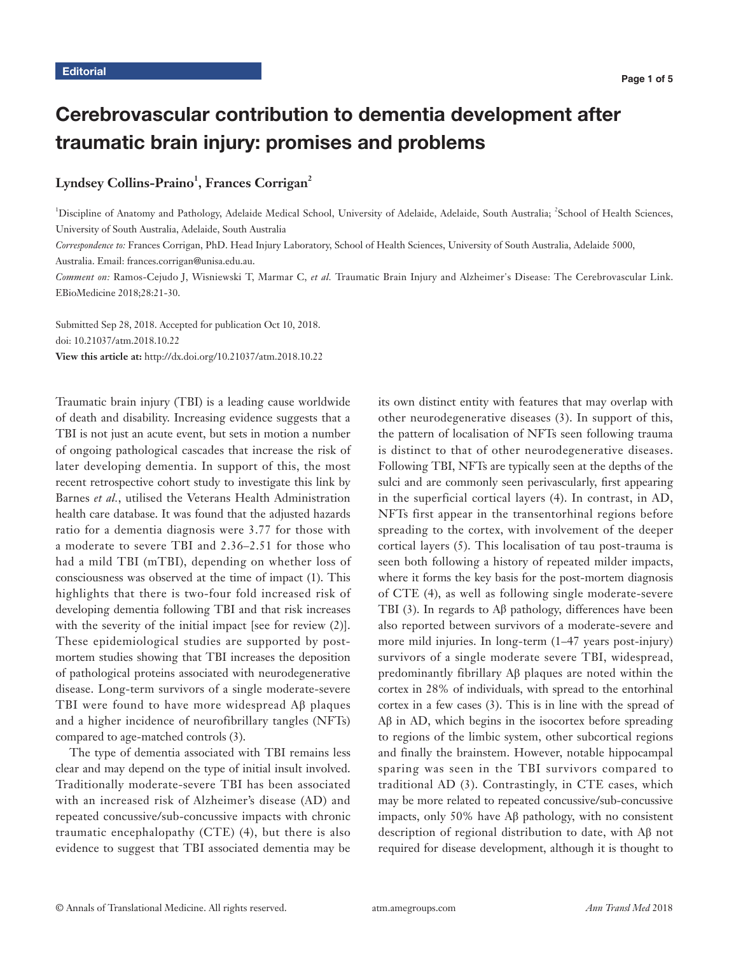# Cerebrovascular contribution to dementia development after traumatic brain injury: promises and problems

## $Lyndsey Collins-Praino<sup>1</sup>, Frances Corrigan<sup>2</sup>$

<sup>1</sup>Discipline of Anatomy and Pathology, Adelaide Medical School, University of Adelaide, Adelaide, South Australia; <sup>2</sup>School of Health Sciences, University of South Australia, Adelaide, South Australia

*Correspondence to:* Frances Corrigan, PhD. Head Injury Laboratory, School of Health Sciences, University of South Australia, Adelaide 5000,

Australia. Email: frances.corrigan@unisa.edu.au.

*Comment on:* Ramos-Cejudo J, Wisniewski T, Marmar C, *et al.* Traumatic Brain Injury and Alzheimer's Disease: The Cerebrovascular Link. EBioMedicine 2018;28:21-30.

Submitted Sep 28, 2018. Accepted for publication Oct 10, 2018. doi: 10.21037/atm.2018.10.22 **View this article at:** http://dx.doi.org/10.21037/atm.2018.10.22

Traumatic brain injury (TBI) is a leading cause worldwide of death and disability. Increasing evidence suggests that a TBI is not just an acute event, but sets in motion a number of ongoing pathological cascades that increase the risk of later developing dementia. In support of this, the most recent retrospective cohort study to investigate this link by Barnes *et al.*, utilised the Veterans Health Administration health care database. It was found that the adjusted hazards ratio for a dementia diagnosis were 3.77 for those with a moderate to severe TBI and 2.36–2.51 for those who had a mild TBI (mTBI), depending on whether loss of consciousness was observed at the time of impact (1). This highlights that there is two-four fold increased risk of developing dementia following TBI and that risk increases with the severity of the initial impact [see for review (2)]. These epidemiological studies are supported by postmortem studies showing that TBI increases the deposition of pathological proteins associated with neurodegenerative disease. Long-term survivors of a single moderate-severe TBI were found to have more widespread Aβ plaques and a higher incidence of neurofibrillary tangles (NFTs) compared to age-matched controls (3).

The type of dementia associated with TBI remains less clear and may depend on the type of initial insult involved. Traditionally moderate-severe TBI has been associated with an increased risk of Alzheimer's disease (AD) and repeated concussive/sub-concussive impacts with chronic traumatic encephalopathy (CTE) (4), but there is also evidence to suggest that TBI associated dementia may be

its own distinct entity with features that may overlap with other neurodegenerative diseases (3). In support of this, the pattern of localisation of NFTs seen following trauma is distinct to that of other neurodegenerative diseases. Following TBI, NFTs are typically seen at the depths of the sulci and are commonly seen perivascularly, first appearing in the superficial cortical layers (4). In contrast, in AD, NFTs first appear in the transentorhinal regions before spreading to the cortex, with involvement of the deeper cortical layers (5). This localisation of tau post-trauma is seen both following a history of repeated milder impacts, where it forms the key basis for the post-mortem diagnosis of CTE (4), as well as following single moderate-severe TBI (3). In regards to Aβ pathology, differences have been also reported between survivors of a moderate-severe and more mild injuries. In long-term (1–47 years post-injury) survivors of a single moderate severe TBI, widespread, predominantly fibrillary Aβ plaques are noted within the cortex in 28% of individuals, with spread to the entorhinal cortex in a few cases (3). This is in line with the spread of Aβ in AD, which begins in the isocortex before spreading to regions of the limbic system, other subcortical regions and finally the brainstem. However, notable hippocampal sparing was seen in the TBI survivors compared to traditional AD (3). Contrastingly, in CTE cases, which may be more related to repeated concussive/sub-concussive impacts, only 50% have Aβ pathology, with no consistent description of regional distribution to date, with Aβ not required for disease development, although it is thought to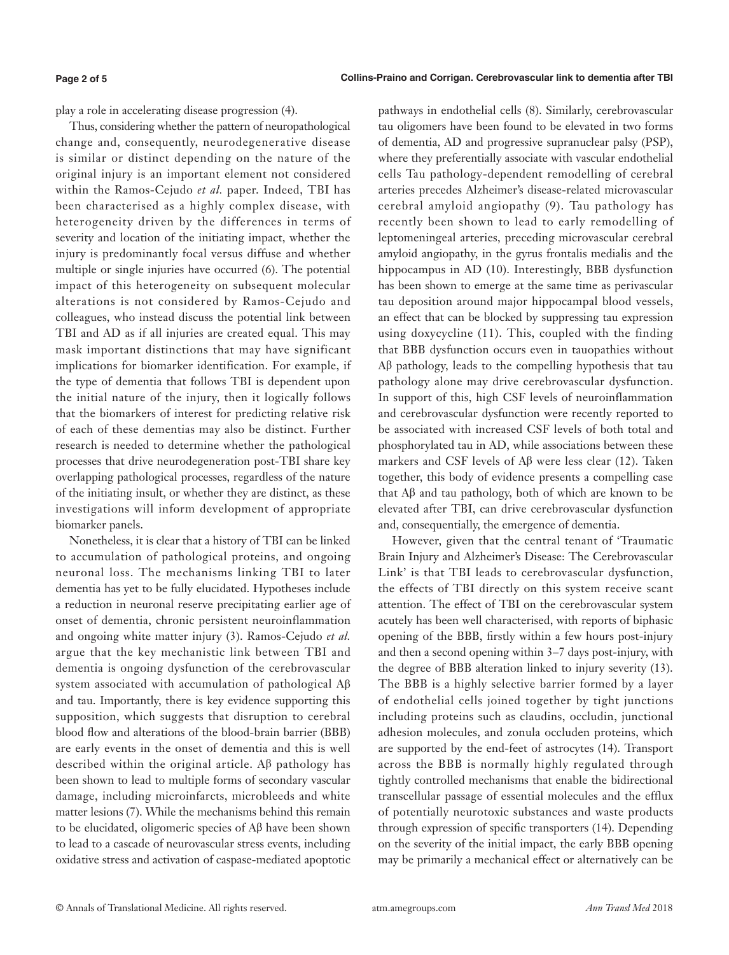#### **Page 2 of 5**

play a role in accelerating disease progression (4).

Thus, considering whether the pattern of neuropathological change and, consequently, neurodegenerative disease is similar or distinct depending on the nature of the original injury is an important element not considered within the Ramos-Cejudo *et al.* paper. Indeed, TBI has been characterised as a highly complex disease, with heterogeneity driven by the differences in terms of severity and location of the initiating impact, whether the injury is predominantly focal versus diffuse and whether multiple or single injuries have occurred (6). The potential impact of this heterogeneity on subsequent molecular alterations is not considered by Ramos-Cejudo and colleagues, who instead discuss the potential link between TBI and AD as if all injuries are created equal. This may mask important distinctions that may have significant implications for biomarker identification. For example, if the type of dementia that follows TBI is dependent upon the initial nature of the injury, then it logically follows that the biomarkers of interest for predicting relative risk of each of these dementias may also be distinct. Further research is needed to determine whether the pathological processes that drive neurodegeneration post-TBI share key overlapping pathological processes, regardless of the nature of the initiating insult, or whether they are distinct, as these investigations will inform development of appropriate biomarker panels.

Nonetheless, it is clear that a history of TBI can be linked to accumulation of pathological proteins, and ongoing neuronal loss. The mechanisms linking TBI to later dementia has yet to be fully elucidated. Hypotheses include a reduction in neuronal reserve precipitating earlier age of onset of dementia, chronic persistent neuroinflammation and ongoing white matter injury (3). Ramos-Cejudo *et al.* argue that the key mechanistic link between TBI and dementia is ongoing dysfunction of the cerebrovascular system associated with accumulation of pathological Aβ and tau. Importantly, there is key evidence supporting this supposition, which suggests that disruption to cerebral blood flow and alterations of the blood-brain barrier (BBB) are early events in the onset of dementia and this is well described within the original article. Aβ pathology has been shown to lead to multiple forms of secondary vascular damage, including microinfarcts, microbleeds and white matter lesions (7). While the mechanisms behind this remain to be elucidated, oligomeric species of Aβ have been shown to lead to a cascade of neurovascular stress events, including oxidative stress and activation of caspase-mediated apoptotic

pathways in endothelial cells (8). Similarly, cerebrovascular tau oligomers have been found to be elevated in two forms of dementia, AD and progressive supranuclear palsy (PSP), where they preferentially associate with vascular endothelial cells Tau pathology-dependent remodelling of cerebral arteries precedes Alzheimer's disease-related microvascular cerebral amyloid angiopathy (9). Tau pathology has recently been shown to lead to early remodelling of leptomeningeal arteries, preceding microvascular cerebral amyloid angiopathy, in the gyrus frontalis medialis and the hippocampus in AD (10). Interestingly, BBB dysfunction has been shown to emerge at the same time as perivascular tau deposition around major hippocampal blood vessels, an effect that can be blocked by suppressing tau expression using doxycycline (11). This, coupled with the finding that BBB dysfunction occurs even in tauopathies without Aβ pathology, leads to the compelling hypothesis that tau pathology alone may drive cerebrovascular dysfunction. In support of this, high CSF levels of neuroinflammation and cerebrovascular dysfunction were recently reported to be associated with increased CSF levels of both total and phosphorylated tau in AD, while associations between these markers and CSF levels of Aβ were less clear (12). Taken together, this body of evidence presents a compelling case that Aβ and tau pathology, both of which are known to be elevated after TBI, can drive cerebrovascular dysfunction and, consequentially, the emergence of dementia.

However, given that the central tenant of 'Traumatic Brain Injury and Alzheimer's Disease: The Cerebrovascular Link' is that TBI leads to cerebrovascular dysfunction, the effects of TBI directly on this system receive scant attention. The effect of TBI on the cerebrovascular system acutely has been well characterised, with reports of biphasic opening of the BBB, firstly within a few hours post-injury and then a second opening within 3–7 days post-injury, with the degree of BBB alteration linked to injury severity (13). The BBB is a highly selective barrier formed by a layer of endothelial cells joined together by tight junctions including proteins such as claudins, occludin, junctional adhesion molecules, and zonula occluden proteins, which are supported by the end-feet of astrocytes (14). Transport across the BBB is normally highly regulated through tightly controlled mechanisms that enable the bidirectional transcellular passage of essential molecules and the efflux of potentially neurotoxic substances and waste products through expression of specific transporters (14). Depending on the severity of the initial impact, the early BBB opening may be primarily a mechanical effect or alternatively can be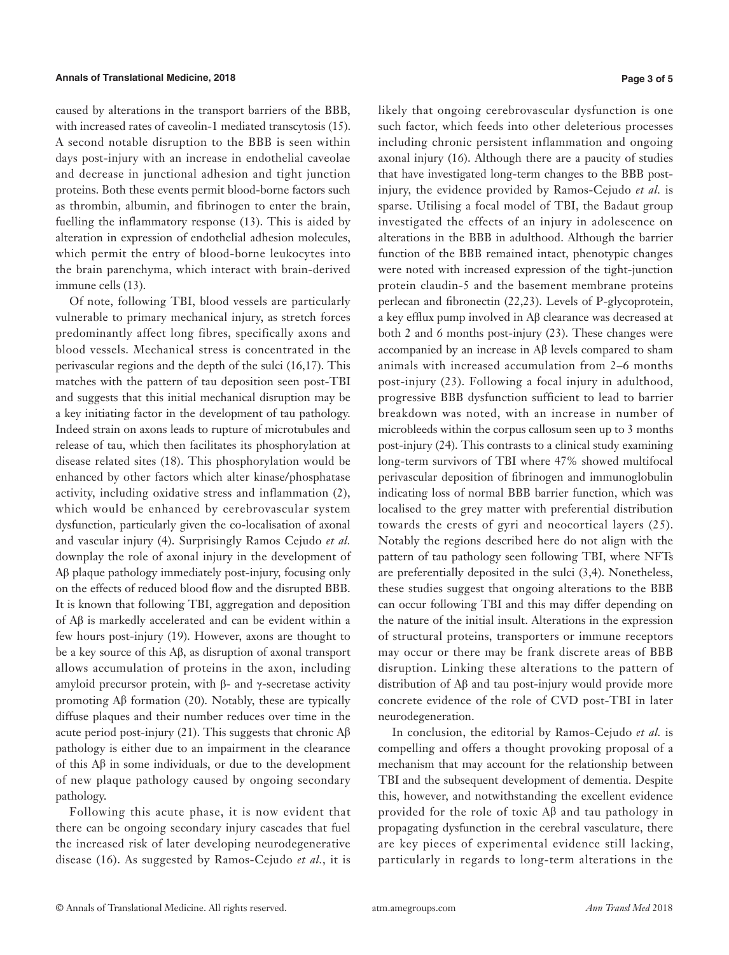caused by alterations in the transport barriers of the BBB, with increased rates of caveolin-1 mediated transcytosis (15). A second notable disruption to the BBB is seen within days post-injury with an increase in endothelial caveolae and decrease in junctional adhesion and tight junction proteins. Both these events permit blood-borne factors such as thrombin, albumin, and fibrinogen to enter the brain, fuelling the inflammatory response (13). This is aided by alteration in expression of endothelial adhesion molecules, which permit the entry of blood-borne leukocytes into the brain parenchyma, which interact with brain-derived immune cells (13).

Of note, following TBI, blood vessels are particularly vulnerable to primary mechanical injury, as stretch forces predominantly affect long fibres, specifically axons and blood vessels. Mechanical stress is concentrated in the perivascular regions and the depth of the sulci (16,17). This matches with the pattern of tau deposition seen post-TBI and suggests that this initial mechanical disruption may be a key initiating factor in the development of tau pathology. Indeed strain on axons leads to rupture of microtubules and release of tau, which then facilitates its phosphorylation at disease related sites (18). This phosphorylation would be enhanced by other factors which alter kinase/phosphatase activity, including oxidative stress and inflammation (2), which would be enhanced by cerebrovascular system dysfunction, particularly given the co-localisation of axonal and vascular injury (4). Surprisingly Ramos Cejudo *et al.* downplay the role of axonal injury in the development of Aβ plaque pathology immediately post-injury, focusing only on the effects of reduced blood flow and the disrupted BBB. It is known that following TBI, aggregation and deposition of Aβ is markedly accelerated and can be evident within a few hours post-injury (19). However, axons are thought to be a key source of this Aβ, as disruption of axonal transport allows accumulation of proteins in the axon, including amyloid precursor protein, with  $β$ - and γ-secretase activity promoting  $\mathbf{A}\beta$  formation (20). Notably, these are typically diffuse plaques and their number reduces over time in the acute period post-injury (21). This suggests that chronic  $\text{A}\beta$ pathology is either due to an impairment in the clearance of this Aβ in some individuals, or due to the development of new plaque pathology caused by ongoing secondary pathology.

Following this acute phase, it is now evident that there can be ongoing secondary injury cascades that fuel the increased risk of later developing neurodegenerative disease (16). As suggested by Ramos-Cejudo *et al.*, it is likely that ongoing cerebrovascular dysfunction is one such factor, which feeds into other deleterious processes including chronic persistent inflammation and ongoing axonal injury (16). Although there are a paucity of studies that have investigated long-term changes to the BBB postinjury, the evidence provided by Ramos-Cejudo *et al.* is sparse. Utilising a focal model of TBI, the Badaut group investigated the effects of an injury in adolescence on alterations in the BBB in adulthood. Although the barrier function of the BBB remained intact, phenotypic changes were noted with increased expression of the tight-junction protein claudin-5 and the basement membrane proteins perlecan and fibronectin (22,23). Levels of P-glycoprotein, a key efflux pump involved in Aβ clearance was decreased at both 2 and 6 months post-injury (23). These changes were accompanied by an increase in Aβ levels compared to sham animals with increased accumulation from 2–6 months post-injury (23). Following a focal injury in adulthood, progressive BBB dysfunction sufficient to lead to barrier breakdown was noted, with an increase in number of microbleeds within the corpus callosum seen up to 3 months post-injury (24). This contrasts to a clinical study examining long-term survivors of TBI where 47% showed multifocal perivascular deposition of fibrinogen and immunoglobulin indicating loss of normal BBB barrier function, which was localised to the grey matter with preferential distribution towards the crests of gyri and neocortical layers (25). Notably the regions described here do not align with the pattern of tau pathology seen following TBI, where NFTs are preferentially deposited in the sulci (3,4). Nonetheless, these studies suggest that ongoing alterations to the BBB can occur following TBI and this may differ depending on the nature of the initial insult. Alterations in the expression of structural proteins, transporters or immune receptors may occur or there may be frank discrete areas of BBB disruption. Linking these alterations to the pattern of distribution of Aβ and tau post-injury would provide more concrete evidence of the role of CVD post-TBI in later neurodegeneration.

In conclusion, the editorial by Ramos-Cejudo *et al.* is compelling and offers a thought provoking proposal of a mechanism that may account for the relationship between TBI and the subsequent development of dementia. Despite this, however, and notwithstanding the excellent evidence provided for the role of toxic Aβ and tau pathology in propagating dysfunction in the cerebral vasculature, there are key pieces of experimental evidence still lacking, particularly in regards to long-term alterations in the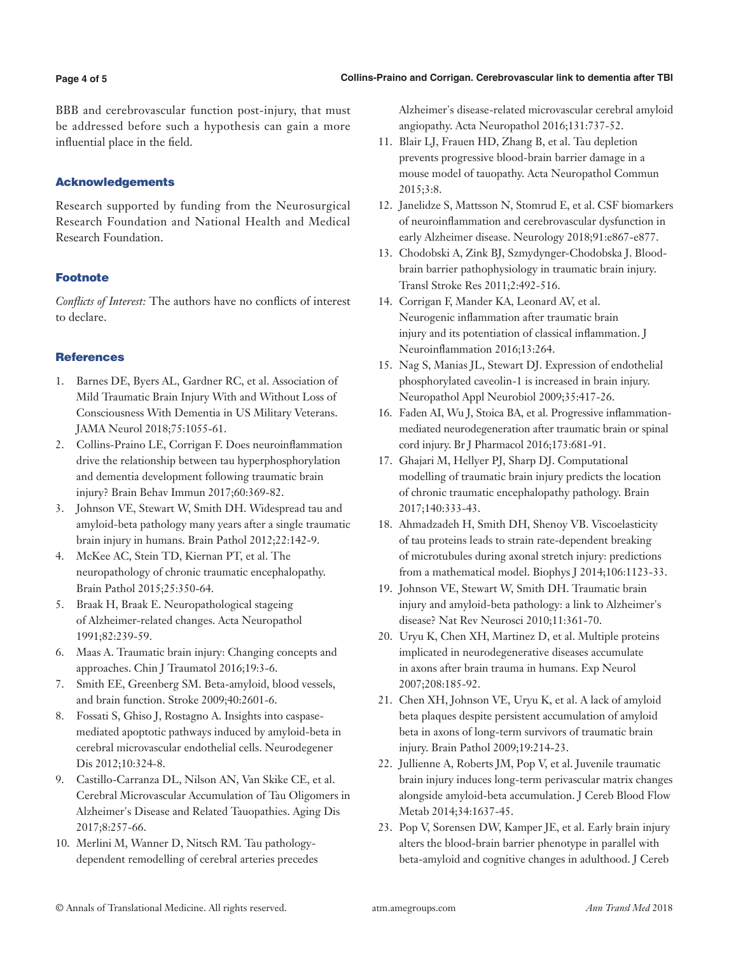#### **Page 4 of 5**

BBB and cerebrovascular function post-injury, that must be addressed before such a hypothesis can gain a more influential place in the field.

### Acknowledgements

Research supported by funding from the Neurosurgical Research Foundation and National Health and Medical Research Foundation.

## Footnote

*Conflicts of Interest:* The authors have no conflicts of interest to declare.

#### **References**

- 1. Barnes DE, Byers AL, Gardner RC, et al. Association of Mild Traumatic Brain Injury With and Without Loss of Consciousness With Dementia in US Military Veterans. JAMA Neurol 2018;75:1055-61.
- 2. Collins-Praino LE, Corrigan F. Does neuroinflammation drive the relationship between tau hyperphosphorylation and dementia development following traumatic brain injury? Brain Behav Immun 2017;60:369-82.
- 3. Johnson VE, Stewart W, Smith DH. Widespread tau and amyloid-beta pathology many years after a single traumatic brain injury in humans. Brain Pathol 2012;22:142-9.
- 4. McKee AC, Stein TD, Kiernan PT, et al. The neuropathology of chronic traumatic encephalopathy. Brain Pathol 2015;25:350-64.
- 5. Braak H, Braak E. Neuropathological stageing of Alzheimer-related changes. Acta Neuropathol 1991;82:239-59.
- 6. Maas A. Traumatic brain injury: Changing concepts and approaches. Chin J Traumatol 2016;19:3-6.
- 7. Smith EE, Greenberg SM. Beta-amyloid, blood vessels, and brain function. Stroke 2009;40:2601-6.
- 8. Fossati S, Ghiso J, Rostagno A. Insights into caspasemediated apoptotic pathways induced by amyloid-beta in cerebral microvascular endothelial cells. Neurodegener Dis 2012;10:324-8.
- 9. Castillo-Carranza DL, Nilson AN, Van Skike CE, et al. Cerebral Microvascular Accumulation of Tau Oligomers in Alzheimer's Disease and Related Tauopathies. Aging Dis 2017;8:257-66.
- 10. Merlini M, Wanner D, Nitsch RM. Tau pathologydependent remodelling of cerebral arteries precedes

Alzheimer's disease-related microvascular cerebral amyloid angiopathy. Acta Neuropathol 2016;131:737-52.

- 11. Blair LJ, Frauen HD, Zhang B, et al. Tau depletion prevents progressive blood-brain barrier damage in a mouse model of tauopathy. Acta Neuropathol Commun 2015;3:8.
- 12. Janelidze S, Mattsson N, Stomrud E, et al. CSF biomarkers of neuroinflammation and cerebrovascular dysfunction in early Alzheimer disease. Neurology 2018;91:e867-e877.
- 13. Chodobski A, Zink BJ, Szmydynger-Chodobska J. Bloodbrain barrier pathophysiology in traumatic brain injury. Transl Stroke Res 2011;2:492-516.
- 14. Corrigan F, Mander KA, Leonard AV, et al. Neurogenic inflammation after traumatic brain injury and its potentiation of classical inflammation. J Neuroinflammation 2016;13:264.
- 15. Nag S, Manias JL, Stewart DJ. Expression of endothelial phosphorylated caveolin-1 is increased in brain injury. Neuropathol Appl Neurobiol 2009;35:417-26.
- 16. Faden AI, Wu J, Stoica BA, et al. Progressive inflammationmediated neurodegeneration after traumatic brain or spinal cord injury. Br J Pharmacol 2016;173:681-91.
- 17. Ghajari M, Hellyer PJ, Sharp DJ. Computational modelling of traumatic brain injury predicts the location of chronic traumatic encephalopathy pathology. Brain 2017;140:333-43.
- 18. Ahmadzadeh H, Smith DH, Shenoy VB. Viscoelasticity of tau proteins leads to strain rate-dependent breaking of microtubules during axonal stretch injury: predictions from a mathematical model. Biophys J 2014;106:1123-33.
- 19. Johnson VE, Stewart W, Smith DH. Traumatic brain injury and amyloid-beta pathology: a link to Alzheimer's disease? Nat Rev Neurosci 2010;11:361-70.
- 20. Uryu K, Chen XH, Martinez D, et al. Multiple proteins implicated in neurodegenerative diseases accumulate in axons after brain trauma in humans. Exp Neurol 2007;208:185-92.
- 21. Chen XH, Johnson VE, Uryu K, et al. A lack of amyloid beta plaques despite persistent accumulation of amyloid beta in axons of long-term survivors of traumatic brain injury. Brain Pathol 2009;19:214-23.
- 22. Jullienne A, Roberts JM, Pop V, et al. Juvenile traumatic brain injury induces long-term perivascular matrix changes alongside amyloid-beta accumulation. J Cereb Blood Flow Metab 2014;34:1637-45.
- 23. Pop V, Sorensen DW, Kamper JE, et al. Early brain injury alters the blood-brain barrier phenotype in parallel with beta-amyloid and cognitive changes in adulthood. J Cereb